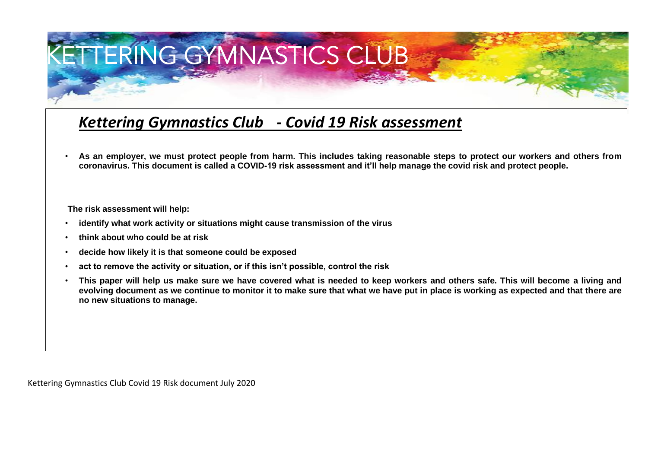## ETTERING GYMNASTICS CLUB

## *Kettering Gymnastics Club - Covid 19 Risk assessment*

• **As an employer, we must protect people from harm. This includes taking reasonable steps to protect our workers and others from coronavirus. This document is called a COVID-19 risk assessment and it'll help manage the covid risk and protect people.** 

 **The risk assessment will help:** 

- **identify what work activity or situations might cause transmission of the virus**
- **think about who could be at risk**
- **decide how likely it is that someone could be exposed**
- **act to remove the activity or situation, or if this isn't possible, control the risk**
- **This paper will help us make sure we have covered what is needed to keep workers and others safe. This will become a living and evolving document as we continue to monitor it to make sure that what we have put in place is working as expected and that there are no new situations to manage.**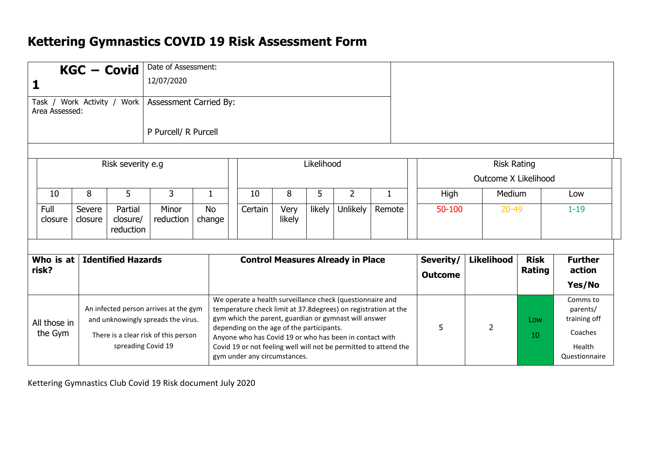## **Kettering Gymnastics COVID 19 Risk Assessment Form**

|                                                                                                                                                                      |                   |  | <b>KGC - Covid</b>               | Date of Assessment:                                                                                                                                                                                                                                        |                             |                   |                       |                                                                                                                                     |                 |                                            |           |                                                                            |  |          |  |
|----------------------------------------------------------------------------------------------------------------------------------------------------------------------|-------------------|--|----------------------------------|------------------------------------------------------------------------------------------------------------------------------------------------------------------------------------------------------------------------------------------------------------|-----------------------------|-------------------|-----------------------|-------------------------------------------------------------------------------------------------------------------------------------|-----------------|--------------------------------------------|-----------|----------------------------------------------------------------------------|--|----------|--|
| 12/07/2020                                                                                                                                                           |                   |  |                                  |                                                                                                                                                                                                                                                            |                             |                   |                       |                                                                                                                                     |                 |                                            |           |                                                                            |  |          |  |
| Task / Work Activity /<br>Work<br>Assessment Carried By:<br>Area Assessed:                                                                                           |                   |  |                                  |                                                                                                                                                                                                                                                            |                             |                   |                       |                                                                                                                                     |                 |                                            |           |                                                                            |  |          |  |
|                                                                                                                                                                      |                   |  |                                  | P Purcell/ R Purcell                                                                                                                                                                                                                                       |                             |                   |                       |                                                                                                                                     |                 |                                            |           |                                                                            |  |          |  |
| Risk severity e.g                                                                                                                                                    |                   |  |                                  |                                                                                                                                                                                                                                                            |                             | Likelihood        |                       |                                                                                                                                     |                 | <b>Risk Rating</b><br>Outcome X Likelihood |           |                                                                            |  |          |  |
| 10                                                                                                                                                                   | 8                 |  | 5                                | 3                                                                                                                                                                                                                                                          | $\mathbf{1}$                | 10                | 8                     | 5                                                                                                                                   | $\overline{2}$  | $\mathbf{1}$                               | High      | Medium                                                                     |  | Low      |  |
| Full<br>closure                                                                                                                                                      | Severe<br>closure |  | Partial<br>closure/<br>reduction | Minor<br>reduction                                                                                                                                                                                                                                         | <b>No</b><br>change         | Certain           | Very<br>likely        | likely                                                                                                                              | <b>Unlikely</b> | Remote                                     | 50-100    | $20 - 49$                                                                  |  | $1 - 19$ |  |
| Who is at<br><b>Identified Hazards</b><br><b>Control Measures Already in Place</b><br>risk?                                                                          |                   |  |                                  |                                                                                                                                                                                                                                                            | Severity/<br><b>Outcome</b> | <b>Likelihood</b> | <b>Risk</b><br>Rating | <b>Further</b><br>action<br>Yes/No                                                                                                  |                 |                                            |           |                                                                            |  |          |  |
| An infected person arrives at the gym<br>and unknowingly spreads the virus.<br>All those in<br>the Gym<br>There is a clear risk of this person<br>spreading Covid 19 |                   |  |                                  | We operate a health surveillance check (questionnaire and<br>gym which the parent, guardian or gymnast will answer<br>depending on the age of the participants.<br>Anyone who has Covid 19 or who has been in contact with<br>gym under any circumstances. |                             |                   |                       | temperature check limit at 37.8 degrees) on registration at the<br>Covid 19 or not feeling well will not be permitted to attend the | 5               | $\overline{2}$                             | Low<br>10 | Comms to<br>parents/<br>training off<br>Coaches<br>Health<br>Questionnaire |  |          |  |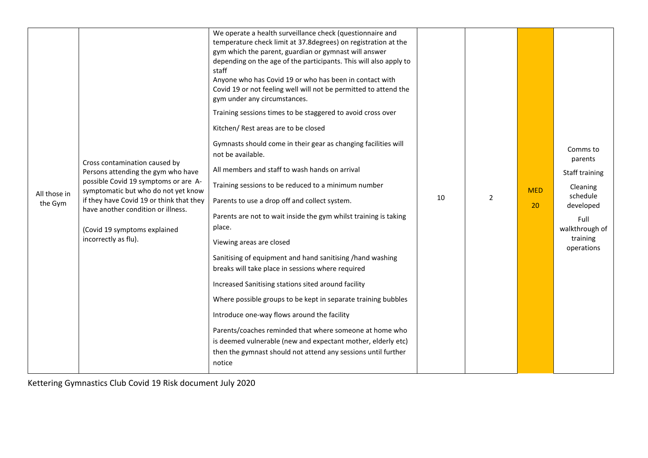| All those in<br>the Gym | Cross contamination caused by<br>Persons attending the gym who have<br>possible Covid 19 symptoms or are A-<br>symptomatic but who do not yet know<br>if they have Covid 19 or think that they<br>have another condition or illness.<br>(Covid 19 symptoms explained<br>incorrectly as flu). | We operate a health surveillance check (questionnaire and<br>temperature check limit at 37.8 degrees) on registration at the<br>gym which the parent, guardian or gymnast will answer<br>depending on the age of the participants. This will also apply to<br>staff<br>Anyone who has Covid 19 or who has been in contact with<br>Covid 19 or not feeling well will not be permitted to attend the<br>gym under any circumstances.<br>Training sessions times to be staggered to avoid cross over<br>Kitchen/ Rest areas are to be closed<br>Gymnasts should come in their gear as changing facilities will<br>not be available.<br>All members and staff to wash hands on arrival<br>Training sessions to be reduced to a minimum number<br>Parents to use a drop off and collect system.<br>Parents are not to wait inside the gym whilst training is taking<br>place.<br>Viewing areas are closed<br>Sanitising of equipment and hand sanitising /hand washing<br>breaks will take place in sessions where required<br>Increased Sanitising stations sited around facility<br>Where possible groups to be kept in separate training bubbles<br>Introduce one-way flows around the facility<br>Parents/coaches reminded that where someone at home who<br>is deemed vulnerable (new and expectant mother, elderly etc)<br>then the gymnast should not attend any sessions until further<br>notice | 10 | $\overline{2}$ | <b>MED</b><br>20 | Comms to<br>parents<br>Staff training<br>Cleaning<br>schedule<br>developed<br>Full<br>walkthrough of<br>training<br>operations |
|-------------------------|----------------------------------------------------------------------------------------------------------------------------------------------------------------------------------------------------------------------------------------------------------------------------------------------|-----------------------------------------------------------------------------------------------------------------------------------------------------------------------------------------------------------------------------------------------------------------------------------------------------------------------------------------------------------------------------------------------------------------------------------------------------------------------------------------------------------------------------------------------------------------------------------------------------------------------------------------------------------------------------------------------------------------------------------------------------------------------------------------------------------------------------------------------------------------------------------------------------------------------------------------------------------------------------------------------------------------------------------------------------------------------------------------------------------------------------------------------------------------------------------------------------------------------------------------------------------------------------------------------------------------------------------------------------------------------------------------------------|----|----------------|------------------|--------------------------------------------------------------------------------------------------------------------------------|
|-------------------------|----------------------------------------------------------------------------------------------------------------------------------------------------------------------------------------------------------------------------------------------------------------------------------------------|-----------------------------------------------------------------------------------------------------------------------------------------------------------------------------------------------------------------------------------------------------------------------------------------------------------------------------------------------------------------------------------------------------------------------------------------------------------------------------------------------------------------------------------------------------------------------------------------------------------------------------------------------------------------------------------------------------------------------------------------------------------------------------------------------------------------------------------------------------------------------------------------------------------------------------------------------------------------------------------------------------------------------------------------------------------------------------------------------------------------------------------------------------------------------------------------------------------------------------------------------------------------------------------------------------------------------------------------------------------------------------------------------------|----|----------------|------------------|--------------------------------------------------------------------------------------------------------------------------------|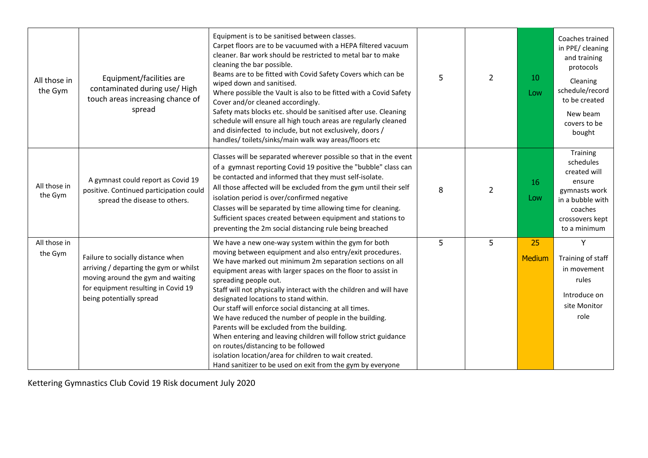| All those in<br>the Gym | Equipment/facilities are<br>contaminated during use/High<br>touch areas increasing chance of<br>spread                                                                              | Equipment is to be sanitised between classes.<br>Carpet floors are to be vacuumed with a HEPA filtered vacuum<br>cleaner. Bar work should be restricted to metal bar to make<br>cleaning the bar possible.<br>Beams are to be fitted with Covid Safety Covers which can be<br>wiped down and sanitised.<br>Where possible the Vault is also to be fitted with a Covid Safety<br>Cover and/or cleaned accordingly.<br>Safety mats blocks etc. should be sanitised after use. Cleaning<br>schedule will ensure all high touch areas are regularly cleaned<br>and disinfected to include, but not exclusively, doors /<br>handles/toilets/sinks/main walk way areas/floors etc                                                                                                            | 5 | $\overline{2}$ | 10<br>Low    | Coaches trained<br>in PPE/ cleaning<br>and training<br>protocols<br>Cleaning<br>schedule/record<br>to be created<br>New beam<br>covers to be<br>bought |
|-------------------------|-------------------------------------------------------------------------------------------------------------------------------------------------------------------------------------|----------------------------------------------------------------------------------------------------------------------------------------------------------------------------------------------------------------------------------------------------------------------------------------------------------------------------------------------------------------------------------------------------------------------------------------------------------------------------------------------------------------------------------------------------------------------------------------------------------------------------------------------------------------------------------------------------------------------------------------------------------------------------------------|---|----------------|--------------|--------------------------------------------------------------------------------------------------------------------------------------------------------|
| All those in<br>the Gym | A gymnast could report as Covid 19<br>positive. Continued participation could<br>spread the disease to others.                                                                      | Classes will be separated wherever possible so that in the event<br>of a gymnast reporting Covid 19 positive the "bubble" class can<br>be contacted and informed that they must self-isolate.<br>All those affected will be excluded from the gym until their self<br>isolation period is over/confirmed negative<br>Classes will be separated by time allowing time for cleaning.<br>Sufficient spaces created between equipment and stations to<br>preventing the 2m social distancing rule being breached                                                                                                                                                                                                                                                                           | 8 | $\overline{2}$ | 16<br>Low    | Training<br>schedules<br>created will<br>ensure<br>gymnasts work<br>in a bubble with<br>coaches<br>crossovers kept<br>to a minimum                     |
| All those in<br>the Gym | Failure to socially distance when<br>arriving / departing the gym or whilst<br>moving around the gym and waiting<br>for equipment resulting in Covid 19<br>being potentially spread | We have a new one-way system within the gym for both<br>moving between equipment and also entry/exit procedures.<br>We have marked out minimum 2m separation sections on all<br>equipment areas with larger spaces on the floor to assist in<br>spreading people out.<br>Staff will not physically interact with the children and will have<br>designated locations to stand within.<br>Our staff will enforce social distancing at all times.<br>We have reduced the number of people in the building.<br>Parents will be excluded from the building.<br>When entering and leaving children will follow strict guidance<br>on routes/distancing to be followed<br>isolation location/area for children to wait created.<br>Hand sanitizer to be used on exit from the gym by everyone | 5 | 5              | 25<br>Medium | Y<br>Training of staff<br>in movement<br>rules<br>Introduce on<br>site Monitor<br>role                                                                 |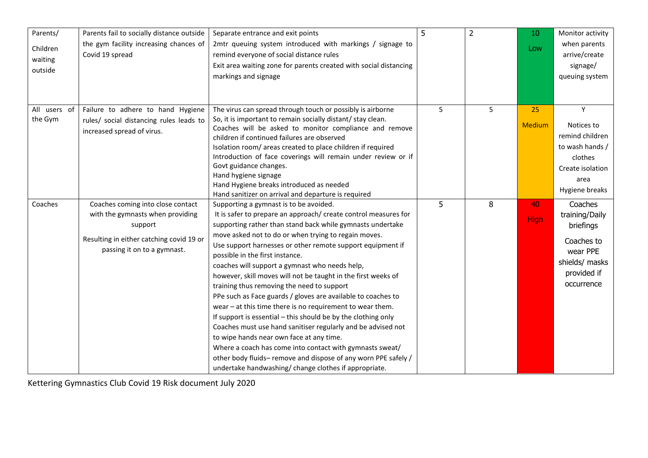| Parents/     | Parents fail to socially distance outside | Separate entrance and exit points                                 | 5 | $\overline{2}$ | 10            | Monitor activity |
|--------------|-------------------------------------------|-------------------------------------------------------------------|---|----------------|---------------|------------------|
| Children     | the gym facility increasing chances of    | 2mtr queuing system introduced with markings / signage to         |   |                |               | when parents     |
|              | Covid 19 spread                           | remind everyone of social distance rules                          |   |                | Low           | arrive/create    |
| waiting      |                                           | Exit area waiting zone for parents created with social distancing |   |                |               | signage/         |
| outside      |                                           | markings and signage                                              |   |                |               | queuing system   |
|              |                                           |                                                                   |   |                |               |                  |
|              |                                           |                                                                   |   |                |               |                  |
| All users of | Failure to adhere to hand Hygiene         | The virus can spread through touch or possibly is airborne        | 5 | 5              | 25            | Y                |
| the Gym      | rules/ social distancing rules leads to   | So, it is important to remain socially distant/ stay clean.       |   |                | <b>Medium</b> | Notices to       |
|              | increased spread of virus.                | Coaches will be asked to monitor compliance and remove            |   |                |               | remind children  |
|              |                                           | children if continued failures are observed                       |   |                |               |                  |
|              |                                           | Isolation room/areas created to place children if required        |   |                |               | to wash hands /  |
|              |                                           | Introduction of face coverings will remain under review or if     |   |                |               | clothes          |
|              |                                           | Govt guidance changes.<br>Hand hygiene signage                    |   |                |               | Create isolation |
|              |                                           | Hand Hygiene breaks introduced as needed                          |   |                |               | area             |
|              |                                           | Hand sanitizer on arrival and departure is required               |   |                |               | Hygiene breaks   |
| Coaches      | Coaches coming into close contact         | Supporting a gymnast is to be avoided.                            | 5 | 8              | 40            | Coaches          |
|              | with the gymnasts when providing          | It is safer to prepare an approach/ create control measures for   |   |                |               | training/Daily   |
|              | support                                   | supporting rather than stand back while gymnasts undertake        |   |                | <b>High</b>   | briefings        |
|              |                                           | move asked not to do or when trying to regain moves.              |   |                |               |                  |
|              | Resulting in either catching covid 19 or  | Use support harnesses or other remote support equipment if        |   |                |               | Coaches to       |
|              | passing it on to a gymnast.               | possible in the first instance.                                   |   |                |               | wear PPE         |
|              |                                           | coaches will support a gymnast who needs help,                    |   |                |               | shields/ masks   |
|              |                                           | however, skill moves will not be taught in the first weeks of     |   |                |               | provided if      |
|              |                                           | training thus removing the need to support                        |   |                |               | occurrence       |
|              |                                           | PPe such as Face guards / gloves are available to coaches to      |   |                |               |                  |
|              |                                           | wear $-$ at this time there is no requirement to wear them.       |   |                |               |                  |
|              |                                           | If support is essential – this should be by the clothing only     |   |                |               |                  |
|              |                                           | Coaches must use hand sanitiser regularly and be advised not      |   |                |               |                  |
|              |                                           | to wipe hands near own face at any time.                          |   |                |               |                  |
|              |                                           | Where a coach has come into contact with gymnasts sweat/          |   |                |               |                  |
|              |                                           | other body fluids-remove and dispose of any worn PPE safely /     |   |                |               |                  |
|              |                                           | undertake handwashing/change clothes if appropriate.              |   |                |               |                  |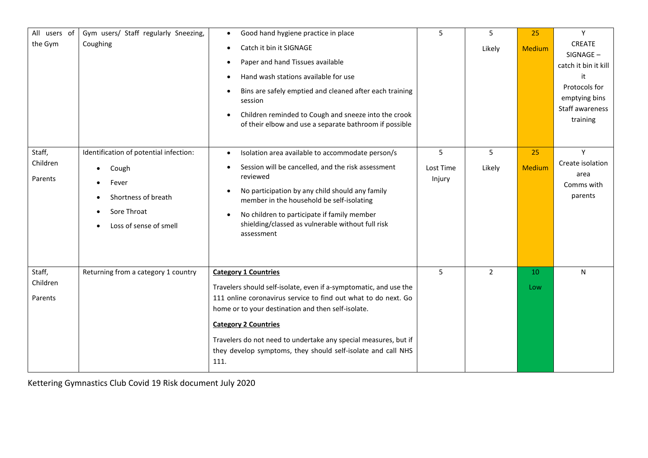| All users of<br>the Gym       | Gym users/ Staff regularly Sneezing,<br>Coughing                                                                                                   | Good hand hygiene practice in place<br>$\bullet$<br>Catch it bin it SIGNAGE<br>$\bullet$<br>Paper and hand Tissues available<br>Hand wash stations available for use<br>Bins are safely emptied and cleaned after each training<br>session<br>Children reminded to Cough and sneeze into the crook<br>of their elbow and use a separate bathroom if possible                                       | 5                        | 5<br>Likely    | 25<br><b>Medium</b> | Y<br>CREATE<br>SIGNAGE-<br>catch it bin it kill<br>it<br>Protocols for<br>emptying bins<br>Staff awareness<br>training |
|-------------------------------|----------------------------------------------------------------------------------------------------------------------------------------------------|----------------------------------------------------------------------------------------------------------------------------------------------------------------------------------------------------------------------------------------------------------------------------------------------------------------------------------------------------------------------------------------------------|--------------------------|----------------|---------------------|------------------------------------------------------------------------------------------------------------------------|
| Staff,<br>Children<br>Parents | Identification of potential infection:<br>Cough<br>$\bullet$<br>Fever<br>Shortness of breath<br>$\bullet$<br>Sore Throat<br>Loss of sense of smell | Isolation area available to accommodate person/s<br>$\bullet$<br>Session will be cancelled, and the risk assessment<br>reviewed<br>No participation by any child should any family<br>member in the household be self-isolating<br>No children to participate if family member<br>shielding/classed as vulnerable without full risk<br>assessment                                                  | 5<br>Lost Time<br>Injury | 5<br>Likely    | 25<br>Medium        | Y<br>Create isolation<br>area<br>Comms with<br>parents                                                                 |
| Staff,<br>Children<br>Parents | Returning from a category 1 country                                                                                                                | <b>Category 1 Countries</b><br>Travelers should self-isolate, even if a-symptomatic, and use the<br>111 online coronavirus service to find out what to do next. Go<br>home or to your destination and then self-isolate.<br><b>Category 2 Countries</b><br>Travelers do not need to undertake any special measures, but if<br>they develop symptoms, they should self-isolate and call NHS<br>111. | 5                        | $\overline{2}$ | 10<br>Low           | N                                                                                                                      |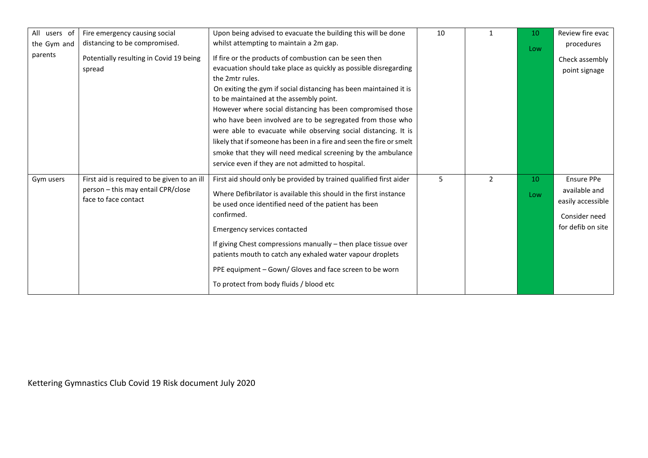| All users of | Fire emergency causing social                                                                             | Upon being advised to evacuate the building this will be done                                                                                                                                                                                                                                                                                                                                                                                                                                                                                                                                                                                             | 10 |               | 10        | Review fire evac                                                                              |
|--------------|-----------------------------------------------------------------------------------------------------------|-----------------------------------------------------------------------------------------------------------------------------------------------------------------------------------------------------------------------------------------------------------------------------------------------------------------------------------------------------------------------------------------------------------------------------------------------------------------------------------------------------------------------------------------------------------------------------------------------------------------------------------------------------------|----|---------------|-----------|-----------------------------------------------------------------------------------------------|
| the Gym and  | distancing to be compromised.                                                                             | whilst attempting to maintain a 2m gap.                                                                                                                                                                                                                                                                                                                                                                                                                                                                                                                                                                                                                   |    |               | Low       | procedures                                                                                    |
| parents      | Potentially resulting in Covid 19 being<br>spread                                                         | If fire or the products of combustion can be seen then<br>evacuation should take place as quickly as possible disregarding<br>the 2mtr rules.<br>On exiting the gym if social distancing has been maintained it is<br>to be maintained at the assembly point.<br>However where social distancing has been compromised those<br>who have been involved are to be segregated from those who<br>were able to evacuate while observing social distancing. It is<br>likely that if someone has been in a fire and seen the fire or smelt<br>smoke that they will need medical screening by the ambulance<br>service even if they are not admitted to hospital. |    |               |           | Check assembly<br>point signage                                                               |
| Gym users    | First aid is required to be given to an ill<br>person - this may entail CPR/close<br>face to face contact | First aid should only be provided by trained qualified first aider<br>Where Defibrilator is available this should in the first instance<br>be used once identified need of the patient has been<br>confirmed.<br><b>Emergency services contacted</b><br>If giving Chest compressions manually - then place tissue over<br>patients mouth to catch any exhaled water vapour droplets<br>PPE equipment - Gown/ Gloves and face screen to be worn<br>To protect from body fluids / blood etc                                                                                                                                                                 | 5  | $\mathcal{P}$ | 10<br>Low | <b>Ensure PPe</b><br>available and<br>easily accessible<br>Consider need<br>for defib on site |